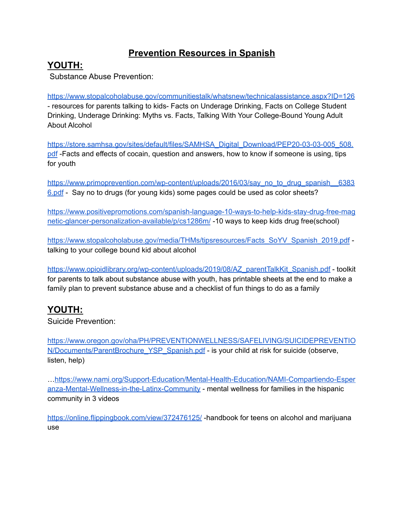## **Prevention Resources in Spanish**

#### **YOUTH:**

Substance Abuse Prevention:

<https://www.stopalcoholabuse.gov/communitiestalk/whatsnew/technicalassistance.aspx?ID=126> - resources for parents talking to kids- Facts on Underage Drinking, Facts on College Student Drinking, Underage Drinking: Myths vs. Facts, Talking With Your College-Bound Young Adult About Alcohol

[https://store.samhsa.gov/sites/default/files/SAMHSA\\_Digital\\_Download/PEP20-03-03-005\\_508.](https://store.samhsa.gov/sites/default/files/SAMHSA_Digital_Download/PEP20-03-03-005_508.pdf) [pdf](https://store.samhsa.gov/sites/default/files/SAMHSA_Digital_Download/PEP20-03-03-005_508.pdf) -Facts and effects of cocain, question and answers, how to know if someone is using, tips for youth

[https://www.primoprevention.com/wp-content/uploads/2016/03/say\\_no\\_to\\_drug\\_spanish\\_\\_6383](https://www.primoprevention.com/wp-content/uploads/2016/03/say_no_to_drug_spanish__63836.pdf) [6.pdf](https://www.primoprevention.com/wp-content/uploads/2016/03/say_no_to_drug_spanish__63836.pdf) - Say no to drugs (for young kids) some pages could be used as color sheets?

[https://www.positivepromotions.com/spanish-language-10-ways-to-help-kids-stay-drug-free-mag](https://www.positivepromotions.com/spanish-language-10-ways-to-help-kids-stay-drug-free-magnetic-glancer-personalization-available/p/cs1286m/) [netic-glancer-personalization-available/p/cs1286m/](https://www.positivepromotions.com/spanish-language-10-ways-to-help-kids-stay-drug-free-magnetic-glancer-personalization-available/p/cs1286m/) -10 ways to keep kids drug free(school)

[https://www.stopalcoholabuse.gov/media/THMs/tipsresources/Facts\\_SoYV\\_Spanish\\_2019.pdf](https://www.stopalcoholabuse.gov/media/THMs/tipsresources/Facts_SoYV_Spanish_2019.pdf) talking to your college bound kid about alcohol

[https://www.opioidlibrary.org/wp-content/uploads/2019/08/AZ\\_parentTalkKit\\_Spanish.pdf](https://www.opioidlibrary.org/wp-content/uploads/2019/08/AZ_parentTalkKit_Spanish.pdf) - toolkit for parents to talk about substance abuse with youth, has printable sheets at the end to make a family plan to prevent substance abuse and a checklist of fun things to do as a family

# **YOUTH:**

Suicide Prevention:

[https://www.oregon.gov/oha/PH/PREVENTIONWELLNESS/SAFELIVING/SUICIDEPREVENTIO](https://www.oregon.gov/oha/PH/PREVENTIONWELLNESS/SAFELIVING/SUICIDEPREVENTION/Documents/ParentBrochure_YSP_Spanish.pdf) [N/Documents/ParentBrochure\\_YSP\\_Spanish.pdf](https://www.oregon.gov/oha/PH/PREVENTIONWELLNESS/SAFELIVING/SUICIDEPREVENTION/Documents/ParentBrochure_YSP_Spanish.pdf) - is your child at risk for suicide (observe, listen, help)

…[https://www.nami.org/Support-Education/Mental-Health-Education/NAMI-Compartiendo-Esper](https://www.nami.org/Support-Education/Mental-Health-Education/NAMI-Compartiendo-Esperanza-Mental-Wellness-in-the-Latinx-Community) [anza-Mental-Wellness-in-the-Latinx-Community](https://www.nami.org/Support-Education/Mental-Health-Education/NAMI-Compartiendo-Esperanza-Mental-Wellness-in-the-Latinx-Community) - mental wellness for families in the hispanic community in 3 videos

<https://online.flippingbook.com/view/372476125/> -handbook for teens on alcohol and marijuana use